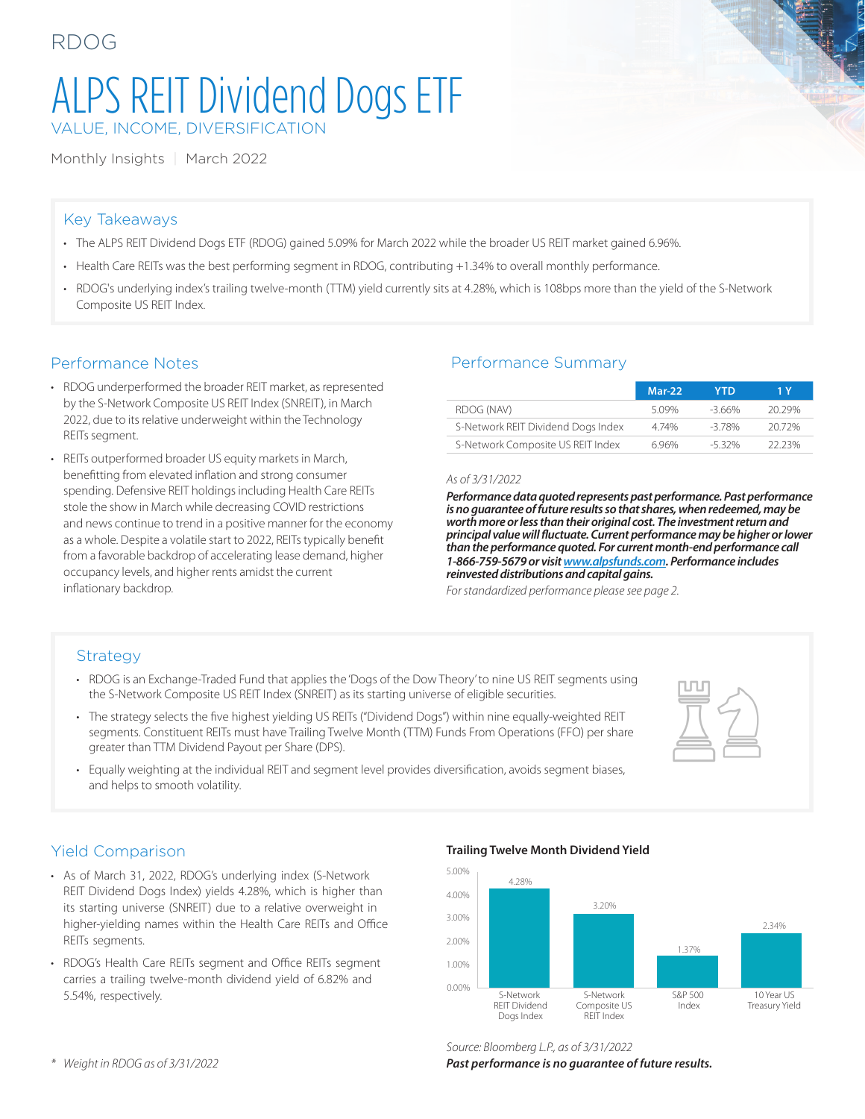# RDOG

# ALPS REIT Dividend Dogs ETF VALUE, INCOME, DIVERSIFICATION

Monthly Insights | March 2022

# Key Takeaways

- The ALPS REIT Dividend Dogs ETF (RDOG) gained 5.09% for March 2022 while the broader US REIT market gained 6.96%.
- Health Care REITs was the best performing segment in RDOG, contributing +1.34% to overall monthly performance.
- RDOG's underlying index's trailing twelve-month (TTM) yield currently sits at 4.28%, which is 108bps more than the yield of the S-Network Composite US REIT Index.

### Performance Notes

- RDOG underperformed the broader REIT market, as represented by the S-Network Composite US REIT Index (SNREIT), in March 2022, due to its relative underweight within the Technology REITs segment.
- REITs outperformed broader US equity markets in March, benefitting from elevated inflation and strong consumer spending. Defensive REIT holdings including Health Care REITs stole the show in March while decreasing COVID restrictions and news continue to trend in a positive manner for the economy as a whole. Despite a volatile start to 2022, REITs typically benefit from a favorable backdrop of accelerating lease demand, higher occupancy levels, and higher rents amidst the current inflationary backdrop.

# Performance Summary

|                                    | $Mar-22$ | YTD       | 1 Y    |
|------------------------------------|----------|-----------|--------|
| RDOG (NAV)                         | 5.09%    | $-3.66%$  | 20.29% |
| S-Network REIT Dividend Dogs Index | 4.74%    | $-378%$   | 2072%  |
| S-Network Composite US REIT Index  | 6.96%    | $-5.32\%$ | 2223%  |

#### *As of 3/31/2022*

*Performance data quoted represents past performance. Past performance is no guarantee of future results so that shares, when redeemed, may be worth more or less than their original cost. The investment return and principal value will fluctuate. Current performance may be higher or lower than the performance quoted. For current month-end performance call 1-866-759-5679 or visit [www.alpsfunds.com](http://www.alpsfunds.com). Performance includes reinvested distributions and capital gains.*

*For standardized performance please see page 2.*

# **Strategy**

- RDOG is an Exchange-Traded Fund that applies the 'Dogs of the Dow Theory' to nine US REIT segments using the S-Network Composite US REIT Index (SNREIT) as its starting universe of eligible securities.
- The strategy selects the five highest yielding US REITs ("Dividend Dogs") within nine equally-weighted REIT segments. Constituent REITs must have Trailing Twelve Month (TTM) Funds From Operations (FFO) per share greater than TTM Dividend Payout per Share (DPS).
- Equally weighting at the individual REIT and segment level provides diversification, avoids segment biases, and helps to smooth volatility.



# Yield Comparison

- As of March 31, 2022, RDOG's underlying index (S-Network REIT Dividend Dogs Index) yields 4.28%, which is higher than its starting universe (SNREIT) due to a relative overweight in higher-yielding names within the Health Care REITs and Office REITs segments.
- RDOG's Health Care REITs segment and Office REITs segment carries a trailing twelve-month dividend yield of 6.82% and 5.54%, respectively.

#### **Trailing Twelve Month Dividend Yield**



### *Source: Bloomberg L.P., as of 3/31/2022*

*Past performance is no guarantee of future results.*

*\* Weight in RDOG as of 3/31/2022*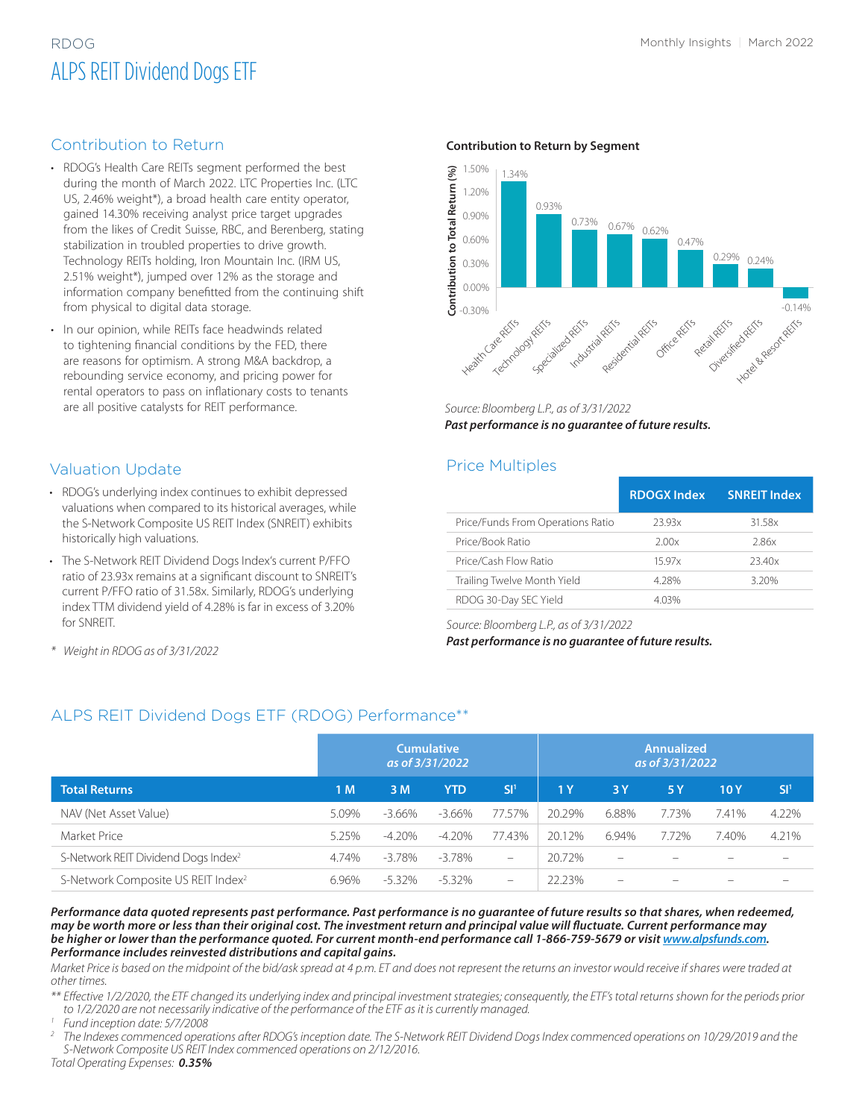# RDOG Monthly Insights | March 2022 ALPS REIT Dividend Dogs ETF

### Contribution to Return

- RDOG's Health Care REITs segment performed the best during the month of March 2022. LTC Properties Inc. (LTC US, 2.46% weight\*), a broad health care entity operator, gained 14.30% receiving analyst price target upgrades from the likes of Credit Suisse, RBC, and Berenberg, stating stabilization in troubled properties to drive growth. Technology REITs holding, Iron Mountain Inc. (IRM US, 2.51% weight\*), jumped over 12% as the storage and information company benefitted from the continuing shift from physical to digital data storage.
- In our opinion, while REITs face headwinds related to tightening financial conditions by the FED, there are reasons for optimism. A strong M&A backdrop, a rebounding service economy, and pricing power for rental operators to pass on inflationary costs to tenants are all positive catalysts for REIT performance.

#### **Contribution to Return by Segment**



*Source: Bloomberg L.P., as of 3/31/2022 Past performance is no guarantee of future results.*

### Price Multiples

|                                   | <b>RDOGX Index</b> | <b>SNREIT Index</b> |
|-----------------------------------|--------------------|---------------------|
| Price/Funds From Operations Ratio | 23.93x             | 31.58x              |
| Price/Book Ratio                  | 2.00x              | 2.86x               |
| Price/Cash Flow Ratio             | 15 97x             | 2340x               |
| Trailing Twelve Month Yield       | 4.28%              | 3.20%               |
| RDOG 30-Day SEC Yield             | 403%               |                     |

*Source: Bloomberg L.P., as of 3/31/2022*

*Past performance is no guarantee of future results. \* Weight in RDOG as of 3/31/2022*

### Valuation Update

- RDOG's underlying index continues to exhibit depressed valuations when compared to its historical averages, while the S-Network Composite US REIT Index (SNREIT) exhibits historically high valuations.
- The S-Network REIT Dividend Dogs Index's current P/FFO ratio of 23.93x remains at a significant discount to SNREIT's current P/FFO ratio of 31.58x. Similarly, RDOG's underlying index TTM dividend yield of 4.28% is far in excess of 3.20% for SNREIT.
- 

# ALPS REIT Dividend Dogs ETF (RDOG) Performance\*\*

|                                                 | <b>Cumulative</b><br>as of 3/31/2022 |           |            | Annualized<br>as of 3/31/2022                                             |                |                          |       |       |                 |
|-------------------------------------------------|--------------------------------------|-----------|------------|---------------------------------------------------------------------------|----------------|--------------------------|-------|-------|-----------------|
| <b>Total Returns</b>                            | 1 M                                  | 3 M       | <b>YTD</b> | SI <sup>1</sup>                                                           | 1 <sub>Y</sub> | 3Y                       | 5 Y   | 10 Y  | SI <sup>1</sup> |
| NAV (Net Asset Value)                           | 5.09%                                | $-3.66%$  | $-3.66%$   | 77.57%                                                                    | 20.29%         | 6.88%                    | 7.73% | 7.41% | 4.22%           |
| Market Price                                    | 5.25%                                | $-4.20\%$ | $-4.20\%$  | 77.43%                                                                    | 20.12%         | 6.94%                    | 7.72% | 7.40% | 4.21%           |
| S-Network REIT Dividend Dogs Index <sup>2</sup> | 4.74%                                | $-3.78\%$ | $-3.78\%$  | $\qquad \qquad -$                                                         | 20.72%         | $\overline{\phantom{a}}$ |       |       |                 |
| S-Network Composite US REIT Index <sup>2</sup>  | 6.96%                                | $-5.32\%$ | $-5.32\%$  | $\hspace{1.0cm} \rule{1.5cm}{0.15cm} \hspace{1.0cm} \rule{1.5cm}{0.15cm}$ | 22.23%         | $\overline{\phantom{a}}$ |       |       |                 |

*Performance data quoted represents past performance. Past performance is no guarantee of future results so that shares, when redeemed, may be worth more or less than their original cost. The investment return and principal value will fluctuate. Current performance may*  be higher or lower than the performance quoted. For current month-end performance call 1-866-759-5679 or visit *www.alpsfunds.com. Performance includes reinvested distributions and capital gains.*

*Market Price is based on the midpoint of the bid/ask spread at 4 p.m. ET and does not represent the returns an investor would receive if shares were traded at other times.*

*\*\* Effective 1/2/2020, the ETF changed its underlying index and principal investment strategies; consequently, the ETF's total returns shown for the periods prior to 1/2/2020 are not necessarily indicative of the performance of the ETF as it is currently managed. 1 Fund inception date: 5/7/2008*

*<sup>2</sup> The Indexes commenced operations after RDOG's inception date. The S-Network REIT Dividend Dogs Index commenced operations on 10/29/2019 and the S-Network Composite US REIT Index commenced operations on 2/12/2016.*

*Total Operating Expenses: 0.35%*